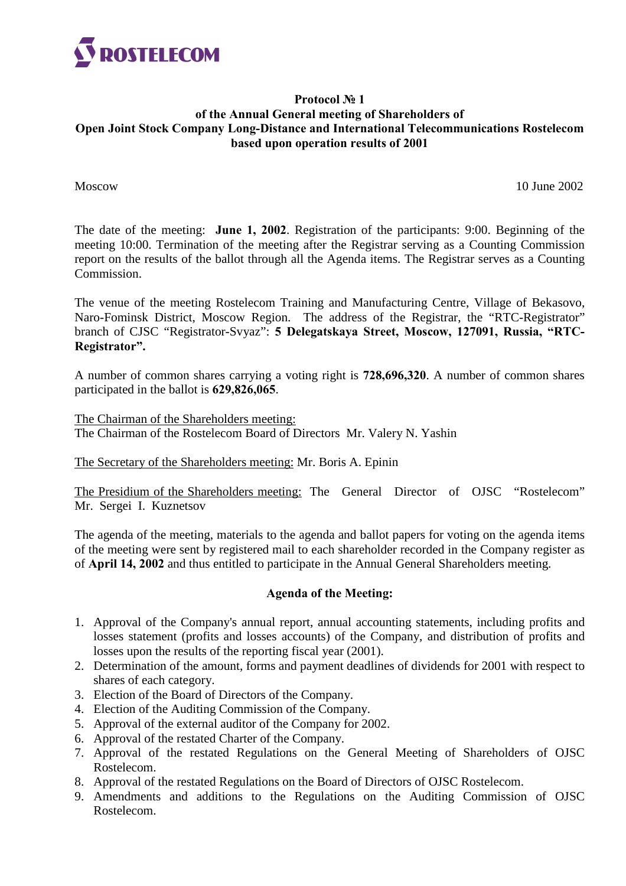

# **Protocol № 1 of the Annual General meeting of Shareholders of Open Joint Stock Company Long-Distance and International Telecommunications Rostelecom based upon operation results of 2001**

Moscow 10 June 2002

The date of the meeting: **June 1, 2002**. Registration of the participants: 9:00. Beginning of the meeting 10:00. Termination of the meeting after the Registrar serving as a Counting Commission report on the results of the ballot through all the Agenda items. The Registrar serves as a Counting Commission.

The venue of the meeting Rostelecom Training and Manufacturing Centre, Village of Bekasovo, Naro-Fominsk District, Moscow Region. The address of the Registrar, the "RTC-Registrator" branch of CJSC "Registrator-Svyaz": 5 Delegatskaya Street, Moscow, 127091, Russia, "RTC-Registrator".

A number of common shares carrying a voting right is **728,696,320**. A number of common shares participated in the ballot is **629,826,065**.

The Chairman of the Shareholders meeting: The Chairman of the Rostelecom Board of Directors Mr. Valery N. Yashin

The Secretary of the Shareholders meeting: Mr. Boris A. Epinin

The Presidium of the Shareholders meeting: The General Director of OJSC "Rostelecom" Mr. Sergei I. Kuznetsov

The agenda of the meeting, materials to the agenda and ballot papers for voting on the agenda items of the meeting were sent by registered mail to each shareholder recorded in the Company register as of **April 14, 2002** and thus entitled to participate in the Annual General Shareholders meeting.

# **Agenda of the Meeting:**

- 1. Approval of the Company's annual report, annual accounting statements, including profits and losses statement (profits and losses accounts) of the Company, and distribution of profits and losses upon the results of the reporting fiscal year (2001).
- 2. Determination of the amount, forms and payment deadlines of dividends for 2001 with respect to shares of each category.
- 3. Election of the Board of Directors of the Company.
- 4. Election of the Auditing Commission of the Company.
- 5. Approval of the external auditor of the Company for 2002.
- 6. Approval of the restated Charter of the Company.
- 7. Approval of the restated Regulations on the General Meeting of Shareholders of OJSC Rostelecom.
- 8. Approval of the restated Regulations on the Board of Directors of OJSC Rostelecom.
- 9. Amendments and additions to the Regulations on the Auditing Commission of OJSC Rostelecom.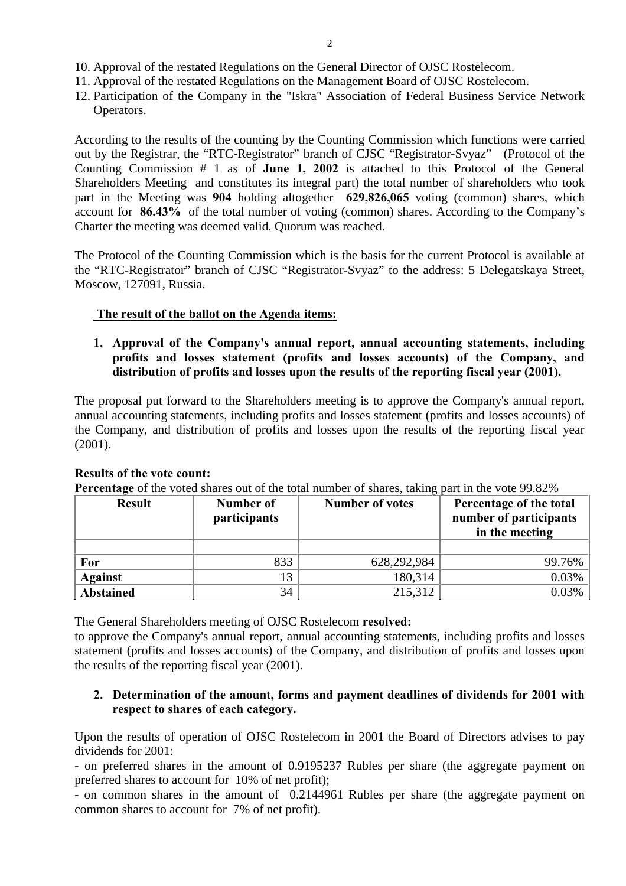- 10. Approval of the restated Regulations on the General Director of OJSC Rostelecom.
- 11. Approval of the restated Regulations on the Management Board of OJSC Rostelecom.
- 12. Participation of the Company in the "Iskra" Association of Federal Business Service Network Operators.

According to the results of the counting by the Counting Commission which functions were carried out by the Registrar, the "RTC-Registrator" branch of CJSC "Registrator-Svyaz" (Protocol of the Counting Commission # 1 as of **June 1, 2002** is attached to this Protocol of the General Shareholders Meeting and constitutes its integral part) the total number of shareholders who took part in the Meeting was **904** holding altogether **629,826,065** voting (common) shares, which account for **86.43%** of the total number of voting (common) shares. According to the Company's Charter the meeting was deemed valid. Quorum was reached.

The Protocol of the Counting Commission which is the basis for the current Protocol is available at the "RTC-Registrator" branch of CJSC "Registrator-Svyaz" to the address: 5 Delegatskaya Street, Moscow, 127091, Russia.

## **The result of the ballot on the Agenda items:**

**1. Approval of the Company's annual report, annual accounting statements, including profits and losses statement (profits and losses accounts) of the Company, and distribution of profits and losses upon the results of the reporting fiscal year (2001).**

The proposal put forward to the Shareholders meeting is to approve the Company's annual report, annual accounting statements, including profits and losses statement (profits and losses accounts) of the Company, and distribution of profits and losses upon the results of the reporting fiscal year (2001).

| <b>Result</b>    | Number of<br>participants | <b>Number of votes</b> | Percentage of the total<br>number of participants<br>in the meeting |
|------------------|---------------------------|------------------------|---------------------------------------------------------------------|
|                  |                           |                        |                                                                     |
| For              | 833                       | 628,292,984            | 99.76%                                                              |
| <b>Against</b>   | 13                        | 180,314                | 0.03%                                                               |
| <b>Abstained</b> | 34                        | 215,312                | 0.03%                                                               |

#### **Results of the vote count:**

**Percentage** of the voted shares out of the total number of shares, taking part in the vote 99.82%

The General Shareholders meeting of OJSC Rostelecom **resolved:**

to approve the Company's annual report, annual accounting statements, including profits and losses statement (profits and losses accounts) of the Company, and distribution of profits and losses upon the results of the reporting fiscal year (2001).

## **2. Determination of the amount, forms and payment deadlines of dividends for 2001 with respect to shares of each category.**

Upon the results of operation of OJSC Rostelecom in 2001 the Board of Directors advises to pay dividends for 2001:

- on preferred shares in the amount of 0.9195237 Rubles per share (the aggregate payment on preferred shares to account for 10% of net profit);

- on common shares in the amount of 0.2144961 Rubles per share (the aggregate payment on common shares to account for 7% of net profit).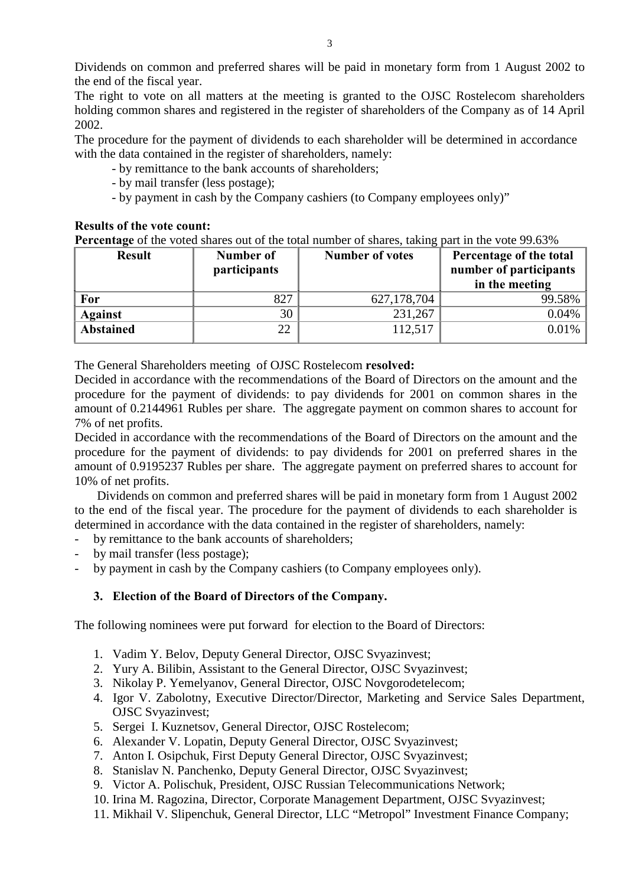Dividends on common and preferred shares will be paid in monetary form from 1 August 2002 to the end of the fiscal year.

The right to vote on all matters at the meeting is granted to the OJSC Rostelecom shareholders holding common shares and registered in the register of shareholders of the Company as of 14 April 2002.

The procedure for the payment of dividends to each shareholder will be determined in accordance with the data contained in the register of shareholders, namely:

- by remittance to the bank accounts of shareholders;
- by mail transfer (less postage);
- by payment in cash by the Company cashiers (to Company employees only)"

## **Results of the vote count:**

**Percentage** of the voted shares out of the total number of shares, taking part in the vote 99.63%

| <b>Result</b>    | Number of<br>participants | <b>Number of votes</b> | Percentage of the total<br>number of participants<br>in the meeting |
|------------------|---------------------------|------------------------|---------------------------------------------------------------------|
| For              | 827                       | 627, 178, 704          | 99.58%                                                              |
| <b>Against</b>   | 30                        | 231,267                | 0.04%                                                               |
| <b>Abstained</b> | 22                        | 112,517                | 0.01%                                                               |

The General Shareholders meeting of OJSC Rostelecom **resolved:**

Decided in accordance with the recommendations of the Board of Directors on the amount and the procedure for the payment of dividends: to pay dividends for 2001 on common shares in the amount of 0.2144961 Rubles per share. The aggregate payment on common shares to account for 7% of net profits.

Decided in accordance with the recommendations of the Board of Directors on the amount and the procedure for the payment of dividends: to pay dividends for 2001 on preferred shares in the amount of 0.9195237 Rubles per share. The aggregate payment on preferred shares to account for 10% of net profits.

Dividends on common and preferred shares will be paid in monetary form from 1 August 2002 to the end of the fiscal year. The procedure for the payment of dividends to each shareholder is determined in accordance with the data contained in the register of shareholders, namely:

- by remittance to the bank accounts of shareholders;
- by mail transfer (less postage);
- by payment in cash by the Company cashiers (to Company employees only).

# **3. Election of the Board of Directors of the Company.**

The following nominees were put forward for election to the Board of Directors:

- 1. Vadim Y. Belov, Deputy General Director, OJSC Svyazinvest;
- 2. Yury A. Bilibin, Assistant to the General Director, OJSC Svyazinvest;
- 3. Nikolay P. Yemelyanov, General Director, OJSC Novgorodetelecom;
- 4. Igor V. Zabolotny, Executive Director/Director, Marketing and Service Sales Department, OJSC Svyazinvest;
- 5. Sergei I. Kuznetsov, General Director, OJSC Rostelecom;
- 6. Alexander V. Lopatin, Deputy General Director, OJSC Svyazinvest;
- 7. Anton I. Osipchuk, First Deputy General Director, OJSC Svyazinvest;
- 8. Stanislav N. Panchenko, Deputy General Director, OJSC Svyazinvest;
- 9. Victor A. Polischuk, President, OJSC Russian Telecommunications Network;
- 10. Irina M. Ragozina, Director, Corporate Management Department, OJSC Svyazinvest;
- 11. Mikhail V. Slipenchuk, General Director, LLC "Metropol" Investment Finance Company;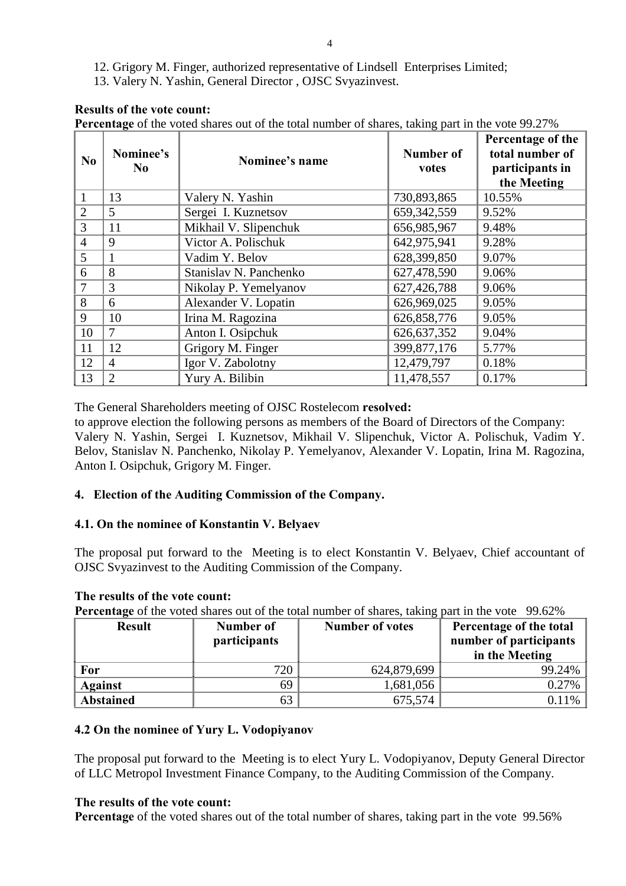- 12. Grigory M. Finger, authorized representative of Lindsell Enterprises Limited;
- 13. Valery N. Yashin, General Director , OJSC Svyazinvest.

## **Results of the vote count:**

**Percentage** of the voted shares out of the total number of shares, taking part in the vote 99.27%

| No             | Nominee's<br>N <sub>0</sub> | Nominee's name         | <b>Number of</b><br>votes | Percentage of the<br>total number of<br>participants in<br>the Meeting |
|----------------|-----------------------------|------------------------|---------------------------|------------------------------------------------------------------------|
| 1              | 13                          | Valery N. Yashin       | 730,893,865               | 10.55%                                                                 |
| $\overline{2}$ | 5                           | Sergei I. Kuznetsov    | 659, 342, 559             | 9.52%                                                                  |
| 3              | 11                          | Mikhail V. Slipenchuk  | 656,985,967               | 9.48%                                                                  |
| $\overline{4}$ | 9                           | Victor A. Polischuk    | 642,975,941               | 9.28%                                                                  |
| $\overline{5}$ |                             | Vadim Y. Belov         | 628,399,850               | 9.07%                                                                  |
| 6              | 8                           | Stanislav N. Panchenko | 627,478,590               | 9.06%                                                                  |
| 7              | 3                           | Nikolay P. Yemelyanov  | 627,426,788               | 9.06%                                                                  |
| 8              | 6                           | Alexander V. Lopatin   | 626,969,025               | 9.05%                                                                  |
| 9              | 10                          | Irina M. Ragozina      | 626,858,776               | 9.05%                                                                  |
| 10             | 7                           | Anton I. Osipchuk      | 626, 637, 352             | 9.04%                                                                  |
| 11             | 12                          | Grigory M. Finger      | 399,877,176               | 5.77%                                                                  |
| 12             | 4                           | Igor V. Zabolotny      | 12,479,797                | 0.18%                                                                  |
| 13             | $\mathcal{D}_{\mathcal{L}}$ | Yury A. Bilibin        | 11,478,557                | 0.17%                                                                  |

The General Shareholders meeting of OJSC Rostelecom **resolved:**

to approve election the following persons as members of the Board of Directors of the Company: Valery N. Yashin, Sergei I. Kuznetsov, Mikhail V. Slipenchuk, Victor A. Polischuk, Vadim Y. Belov, Stanislav N. Panchenko, Nikolay P. Yemelyanov, Alexander V. Lopatin, Irina M. Ragozina, Anton I. Osipchuk, Grigory M. Finger.

## **4. Election of the Auditing Commission of the Company.**

## **4.1. On the nominee of Konstantin V. Belyaev**

The proposal put forward to the Meeting is to elect Konstantin V. Belyaev, Chief accountant of OJSC Svyazinvest to the Auditing Commission of the Company.

## **The results of the vote count:**

**Percentage** of the voted shares out of the total number of shares, taking part in the vote 99.62%

| <b>Result</b>    | Number of<br>participants | <b>Number of votes</b> | Percentage of the total<br>number of participants |
|------------------|---------------------------|------------------------|---------------------------------------------------|
|                  |                           |                        | in the Meeting                                    |
| For              | 720                       | 624,879,699            | 99.24%                                            |
| <b>Against</b>   | 69                        | 1,681,056              | $0.27\%$                                          |
| <b>Abstained</b> | 63                        | 675,574                | $0.11\%$                                          |

## **4.2 On the nominee of Yury L. Vodopiyanov**

The proposal put forward to the Meeting is to elect Yury L. Vodopiyanov, Deputy General Director of LLC Metropol Investment Finance Company, to the Auditing Commission of the Company.

## **The results of the vote count:**

**Percentage** of the voted shares out of the total number of shares, taking part in the vote 99.56%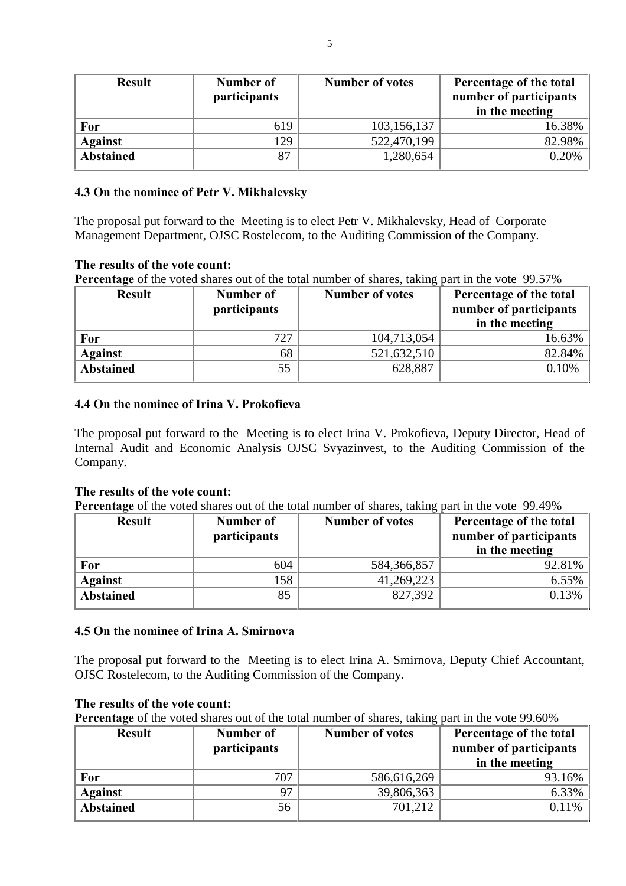| <b>Result</b>    | Number of<br>participants | <b>Number of votes</b> | Percentage of the total<br>number of participants<br>in the meeting |
|------------------|---------------------------|------------------------|---------------------------------------------------------------------|
| For              | 619                       | 103,156,137            | 16.38%                                                              |
| <b>Against</b>   | 129                       | 522,470,199            | 82.98%                                                              |
| <b>Abstained</b> | 87                        | 1,280,654              | 0.20%                                                               |

## **4.3 On the nominee of Petr V. Mikhalevsky**

The proposal put forward to the Meeting is to elect Petr V. Mikhalevsky, Head of Corporate Management Department, OJSC Rostelecom, to the Auditing Commission of the Company.

## **The results of the vote count:**

Percentage of the voted shares out of the total number of shares, taking part in the vote 99.57%

| <b>Result</b>    | Number of<br>participants | <b>Number of votes</b> | Percentage of the total<br>number of participants |
|------------------|---------------------------|------------------------|---------------------------------------------------|
|                  |                           |                        | in the meeting                                    |
| For              | 727                       | 104,713,054            | 16.63%                                            |
| <b>Against</b>   | 68                        | 521,632,510            | 82.84%                                            |
| <b>Abstained</b> | 55                        | 628,887                | 0.10%                                             |

## **4.4 On the nominee of Irina V. Prokofieva**

The proposal put forward to the Meeting is to elect Irina V. Prokofieva, Deputy Director, Head of Internal Audit and Economic Analysis OJSC Svyazinvest, to the Auditing Commission of the Company.

## **The results of the vote count:**

Percentage of the voted shares out of the total number of shares, taking part in the vote 99.49%

| <b>Result</b>    | Number of    | <b>Number of votes</b> | Percentage of the total |
|------------------|--------------|------------------------|-------------------------|
|                  | participants |                        | number of participants  |
|                  |              |                        | in the meeting          |
| For              | 604          | 584,366,857            | 92.81%                  |
| <b>Against</b>   | 158          | 41,269,223             | 6.55%                   |
| <b>Abstained</b> | 85           | 827,392                | 0.13%                   |

## **4.5 On the nominee of Irina A. Smirnova**

The proposal put forward to the Meeting is to elect Irina A. Smirnova, Deputy Chief Accountant, OJSC Rostelecom, to the Auditing Commission of the Company.

## **The results of the vote count:**

**Percentage** of the voted shares out of the total number of shares, taking part in the vote 99.60%

| <b>Result</b>    | Number of<br>participants | - -<br><b>Number of votes</b> | Percentage of the total<br>number of participants<br>in the meeting |
|------------------|---------------------------|-------------------------------|---------------------------------------------------------------------|
| For              | 707                       | 586,616,269                   | 93.16%                                                              |
| <b>Against</b>   | 97                        | 39,806,363                    | 6.33%                                                               |
| <b>Abstained</b> | 56                        | 701,212                       | $0.11\%$                                                            |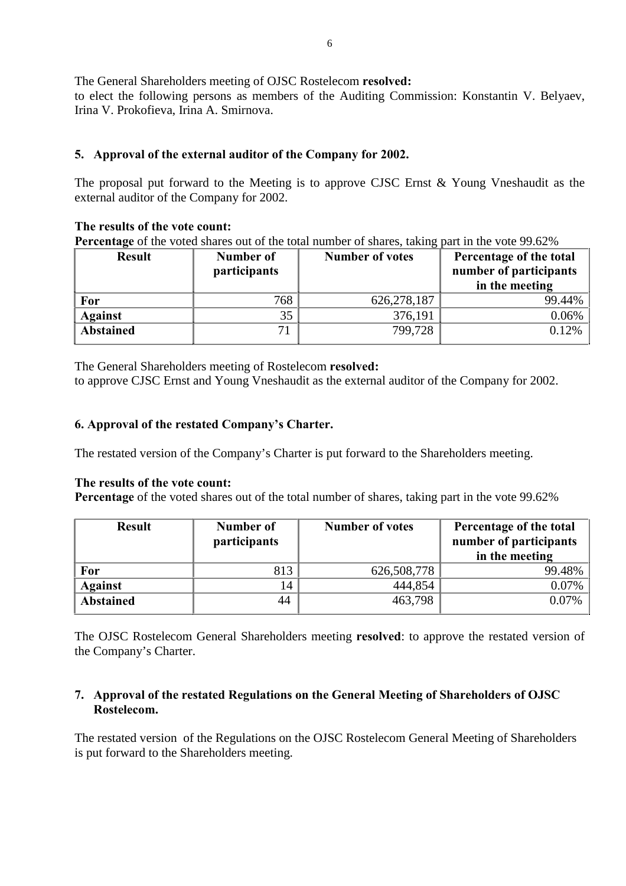The General Shareholders meeting of OJSC Rostelecom **resolved:**

to elect the following persons as members of the Auditing Commission: Konstantin V. Belyaev, Irina V. Prokofieva, Irina A. Smirnova.

# **5. Approval of the external auditor of the Company for 2002.**

The proposal put forward to the Meeting is to approve CJSC Ernst & Young Vneshaudit as the external auditor of the Company for 2002.

## **The results of the vote count:**

Percentage of the voted shares out of the total number of shares, taking part in the vote 99.62%

| <b>Result</b>    | Number of<br><i>participants</i> | ັ<br><b>Number of votes</b> | Percentage of the total<br>number of participants<br>in the meeting |
|------------------|----------------------------------|-----------------------------|---------------------------------------------------------------------|
| For              | 768                              | 626, 278, 187               | 99.44%                                                              |
| <b>Against</b>   | 35                               | 376,191                     | 0.06%                                                               |
| <b>Abstained</b> | 71                               | 799,728                     | 0.12%                                                               |

The General Shareholders meeting of Rostelecom **resolved:** to approve CJSC Ernst and Young Vneshaudit as the external auditor of the Company for 2002.

# **6. Approval of the restated Companyís Charter.**

The restated version of the Company's Charter is put forward to the Shareholders meeting.

## **The results of the vote count:**

**Percentage** of the voted shares out of the total number of shares, taking part in the vote 99.62%

| <b>Result</b>    | Number of<br>participants | <b>Number of votes</b> | Percentage of the total<br>number of participants |
|------------------|---------------------------|------------------------|---------------------------------------------------|
|                  |                           |                        | in the meeting                                    |
| For              | 813                       | 626,508,778            | 99.48%                                            |
| <b>Against</b>   | 14                        | 444,854                | 0.07%                                             |
| <b>Abstained</b> | 44                        | 463,798                | 0.07%                                             |

The OJSC Rostelecom General Shareholders meeting **resolved**: to approve the restated version of the Company's Charter.

## **7. Approval of the restated Regulations on the General Meeting of Shareholders of OJSC Rostelecom.**

The restated version of the Regulations on the OJSC Rostelecom General Meeting of Shareholders is put forward to the Shareholders meeting.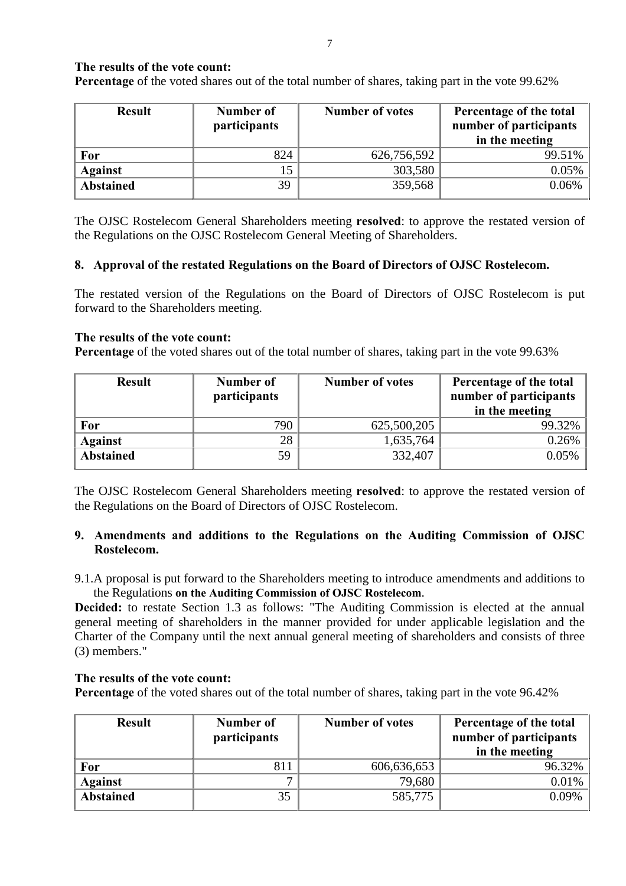## **The results of the vote count:**

Percentage of the voted shares out of the total number of shares, taking part in the vote 99.62%

| <b>Result</b>    | Number of<br>participants | <b>Number of votes</b> | Percentage of the total<br>number of participants<br>in the meeting |
|------------------|---------------------------|------------------------|---------------------------------------------------------------------|
| For              | 824                       | 626,756,592            | 99.51%                                                              |
| <b>Against</b>   | 15                        | 303,580                | $0.05\%$                                                            |
| <b>Abstained</b> | 39                        | 359,568                | 0.06%                                                               |

The OJSC Rostelecom General Shareholders meeting **resolved**: to approve the restated version of the Regulations on the OJSC Rostelecom General Meeting of Shareholders.

## **8. Approval of the restated Regulations on the Board of Directors of OJSC Rostelecom.**

The restated version of the Regulations on the Board of Directors of OJSC Rostelecom is put forward to the Shareholders meeting.

#### **The results of the vote count:**

**Percentage** of the voted shares out of the total number of shares, taking part in the vote 99.63%

| <b>Result</b>    | Number of<br>participants | <b>Number of votes</b> | Percentage of the total<br>number of participants<br>in the meeting |
|------------------|---------------------------|------------------------|---------------------------------------------------------------------|
| For              | 790                       | 625,500,205            | 99.32%                                                              |
| <b>Against</b>   | 28                        | 1,635,764              | $0.26\%$                                                            |
| <b>Abstained</b> | 59                        | 332,407                | $0.05\%$                                                            |

The OJSC Rostelecom General Shareholders meeting **resolved**: to approve the restated version of the Regulations on the Board of Directors of OJSC Rostelecom.

## **9. Amendments and additions to the Regulations on the Auditing Commission of OJSC Rostelecom.**

9.1.A proposal is put forward to the Shareholders meeting to introduce amendments and additions to the Regulations **on the Auditing Commission of OJSC Rostelecom**.

Decided: to restate Section 1.3 as follows: "The Auditing Commission is elected at the annual general meeting of shareholders in the manner provided for under applicable legislation and the Charter of the Company until the next annual general meeting of shareholders and consists of three (3) members."

## **The results of the vote count:**

Percentage of the voted shares out of the total number of shares, taking part in the vote 96.42%

| <b>Result</b>    | Number of<br>participants | <b>Number of votes</b> | Percentage of the total<br>number of participants<br>in the meeting |
|------------------|---------------------------|------------------------|---------------------------------------------------------------------|
| For              | 811                       | 606,636,653            | 96.32%                                                              |
| <b>Against</b>   |                           | 79,680                 | $0.01\%$                                                            |
| <b>Abstained</b> | 35                        | 585,775                | 0.09%                                                               |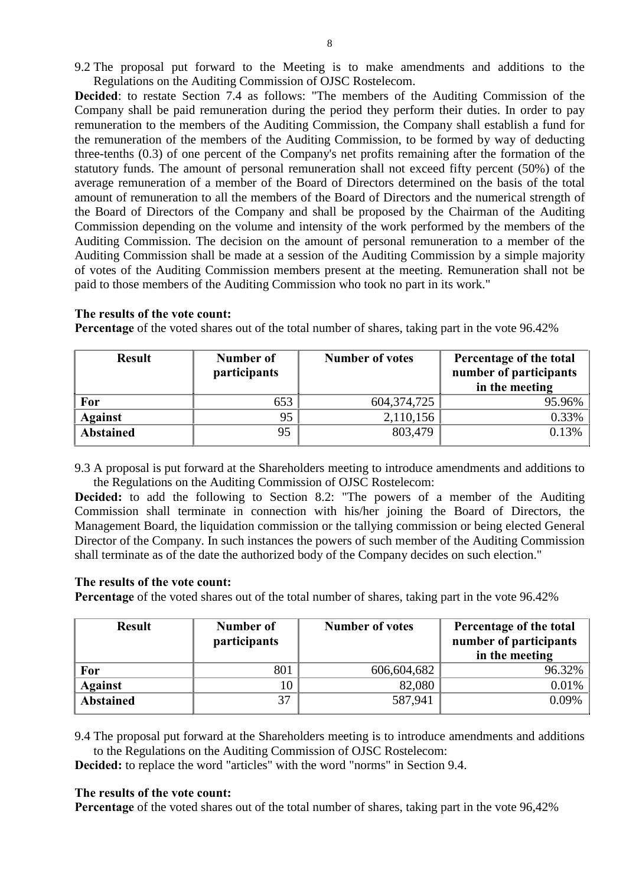9.2 The proposal put forward to the Meeting is to make amendments and additions to the Regulations on the Auditing Commission of OJSC Rostelecom.

**Decided**: to restate Section 7.4 as follows: "The members of the Auditing Commission of the Company shall be paid remuneration during the period they perform their duties. In order to pay remuneration to the members of the Auditing Commission, the Company shall establish a fund for the remuneration of the members of the Auditing Commission, to be formed by way of deducting three-tenths (0.3) of one percent of the Company's net profits remaining after the formation of the statutory funds. The amount of personal remuneration shall not exceed fifty percent (50%) of the average remuneration of a member of the Board of Directors determined on the basis of the total amount of remuneration to all the members of the Board of Directors and the numerical strength of the Board of Directors of the Company and shall be proposed by the Chairman of the Auditing Commission depending on the volume and intensity of the work performed by the members of the Auditing Commission. The decision on the amount of personal remuneration to a member of the Auditing Commission shall be made at a session of the Auditing Commission by a simple majority of votes of the Auditing Commission members present at the meeting. Remuneration shall not be paid to those members of the Auditing Commission who took no part in its work."

#### **The results of the vote count:**

**Percentage** of the voted shares out of the total number of shares, taking part in the vote 96.42%

| <b>Result</b>    | Number of<br>participants | <b>Number of votes</b> | Percentage of the total<br>number of participants<br>in the meeting |
|------------------|---------------------------|------------------------|---------------------------------------------------------------------|
| For              | 653                       | 604, 374, 725          | 95.96%                                                              |
| <b>Against</b>   | 95                        | 2,110,156              | 0.33%                                                               |
| <b>Abstained</b> | 95                        | 803,479                | 0.13%                                                               |

9.3 A proposal is put forward at the Shareholders meeting to introduce amendments and additions to the Regulations on the Auditing Commission of OJSC Rostelecom:

**Decided:** to add the following to Section 8.2: "The powers of a member of the Auditing Commission shall terminate in connection with his/her joining the Board of Directors, the Management Board, the liquidation commission or the tallying commission or being elected General Director of the Company. In such instances the powers of such member of the Auditing Commission shall terminate as of the date the authorized body of the Company decides on such election."

#### **The results of the vote count:**

Percentage of the voted shares out of the total number of shares, taking part in the vote 96.42%

| <b>Result</b>    | Number of<br><i>participants</i> | <b>Number of votes</b> | Percentage of the total<br>number of participants<br>in the meeting |
|------------------|----------------------------------|------------------------|---------------------------------------------------------------------|
| <b>For</b>       | 801                              | 606,604,682            | 96.32%                                                              |
| <b>Against</b>   | 10                               | 82,080                 | 0.01%                                                               |
| <b>Abstained</b> | 37                               | 587,941                | 0.09%                                                               |

9.4 The proposal put forward at the Shareholders meeting is to introduce amendments and additions to the Regulations on the Auditing Commission of OJSC Rostelecom:

**Decided:** to replace the word "articles" with the word "norms" in Section 9.4.

#### **The results of the vote count:**

**Percentage** of the voted shares out of the total number of shares, taking part in the vote 96,42%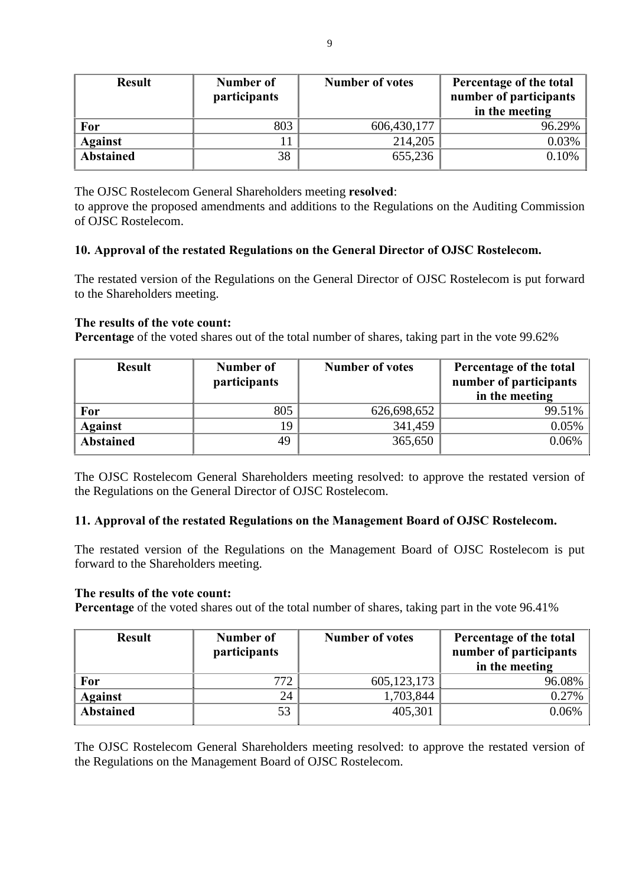| <b>Result</b>    | Number of<br>participants | <b>Number of votes</b> | Percentage of the total<br>number of participants<br>in the meeting |
|------------------|---------------------------|------------------------|---------------------------------------------------------------------|
| For              | 803                       | 606,430,177            | 96.29%                                                              |
| <b>Against</b>   |                           | 214,205                | 0.03%                                                               |
| <b>Abstained</b> | 38                        | 655,236                | 0.10%                                                               |

The OJSC Rostelecom General Shareholders meeting **resolved**:

to approve the proposed amendments and additions to the Regulations on the Auditing Commission of OJSC Rostelecom.

## **10. Approval of the restated Regulations on the General Director of OJSC Rostelecom.**

The restated version of the Regulations on the General Director of OJSC Rostelecom is put forward to the Shareholders meeting.

## **The results of the vote count:**

Percentage of the voted shares out of the total number of shares, taking part in the vote 99.62%

| <b>Result</b>    | Number of<br>participants | <b>Number of votes</b> | Percentage of the total<br>number of participants<br>in the meeting |
|------------------|---------------------------|------------------------|---------------------------------------------------------------------|
| For              | 805                       | 626,698,652            | 99.51%                                                              |
| <b>Against</b>   | 19                        | 341,459                | $0.05\%$                                                            |
| <b>Abstained</b> | 49                        | 365,650                | 0.06%                                                               |

The OJSC Rostelecom General Shareholders meeting resolved: to approve the restated version of the Regulations on the General Director of OJSC Rostelecom.

## **11. Approval of the restated Regulations on the Management Board of OJSC Rostelecom.**

The restated version of the Regulations on the Management Board of OJSC Rostelecom is put forward to the Shareholders meeting.

#### **The results of the vote count:**

Percentage of the voted shares out of the total number of shares, taking part in the vote 96.41%

| <b>Result</b>    | Number of<br><i>participants</i> | <b>Number of votes</b> | Percentage of the total<br>number of participants<br>in the meeting |
|------------------|----------------------------------|------------------------|---------------------------------------------------------------------|
| For              | 772                              | 605, 123, 173          | 96.08%                                                              |
| <b>Against</b>   | 24                               | 1,703,844              | $0.27\%$                                                            |
| <b>Abstained</b> | 53                               | 405,301                | 0.06%                                                               |

The OJSC Rostelecom General Shareholders meeting resolved: to approve the restated version of the Regulations on the Management Board of OJSC Rostelecom.